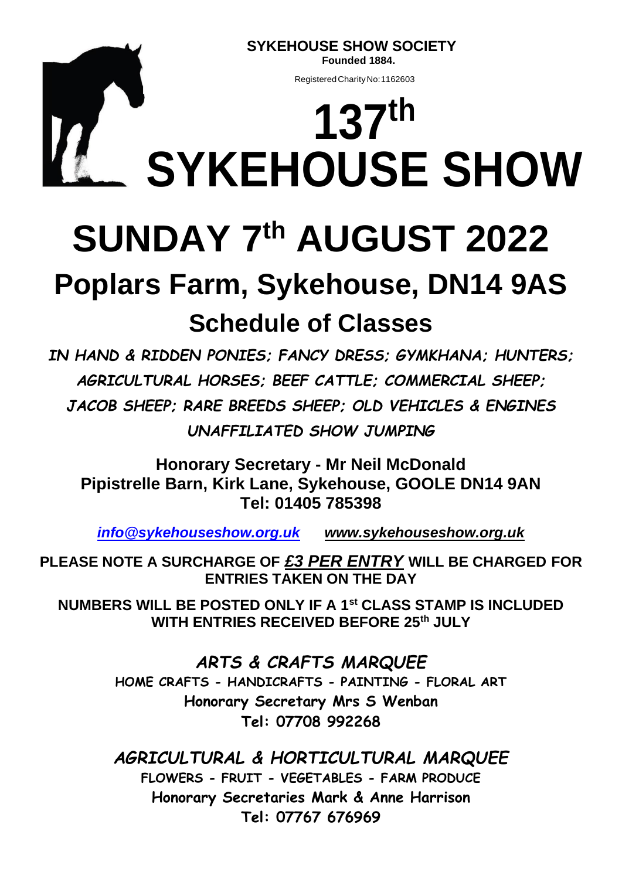**SYKEHOUSE SHOW SOCIETY Founded 1884.**

RegisteredCharityNo:1162603

# **137th SYKEHOUSE SHOW**

# **SUNDAY 7th AUGUST 2022**

# **Poplars Farm, Sykehouse, DN14 9AS Schedule of Classes**

*IN HAND & RIDDEN PONIES; FANCY DRESS; GYMKHANA; HUNTERS; AGRICULTURAL HORSES; BEEF CATTLE; COMMERCIAL SHEEP; JACOB SHEEP; RARE BREEDS SHEEP; OLD VEHICLES & ENGINES UNAFFILIATED SHOW JUMPING*

**Honorary Secretary - Mr Neil McDonald Pipistrelle Barn, Kirk Lane, Sykehouse, GOOLE DN14 9AN Tel: 01405 785398**

*[info@sykehouseshow.org.uk](mailto:info@sykehouseshow.org.uk) [www.sykehouseshow.org.uk](http://www.sykehouseshow.org.uk/)*

**PLEASE NOTE A SURCHARGE OF** *£3 PER ENTRY* **WILL BE CHARGED FOR ENTRIES TAKEN ON THE DAY**

**NUMBERS WILL BE POSTED ONLY IF A 1st CLASS STAMP IS INCLUDED WITH ENTRIES RECEIVED BEFORE 25th JULY**

> *ARTS & CRAFTS MARQUEE* **HOME CRAFTS - HANDICRAFTS - PAINTING - FLORAL ART Honorary Secretary Mrs S Wenban Tel: 07708 992268**

> *AGRICULTURAL & HORTICULTURAL MARQUEE* **FLOWERS - FRUIT - VEGETABLES - FARM PRODUCE Honorary Secretaries Mark & Anne Harrison Tel: 07767 676969**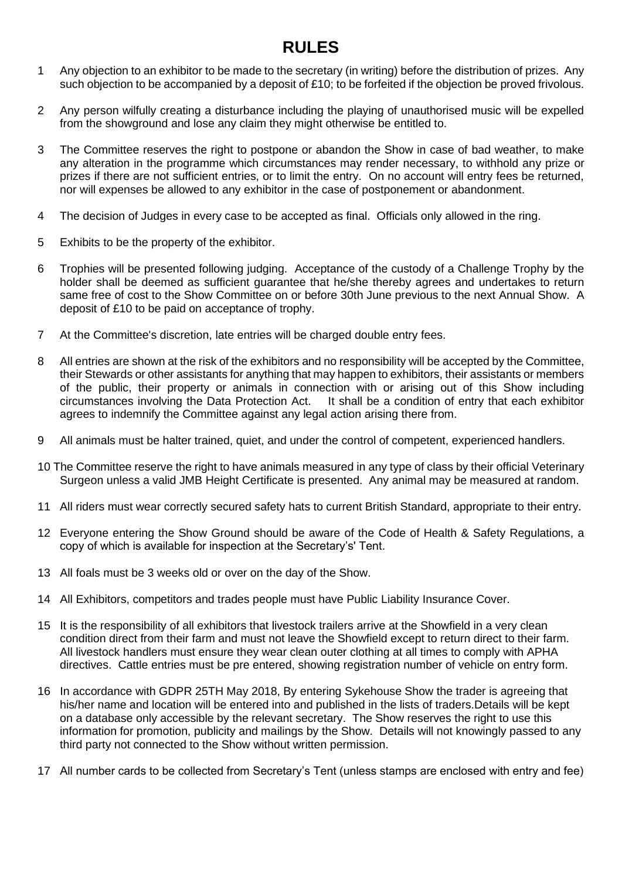### **RULES**

- 1 Any objection to an exhibitor to be made to the secretary (in writing) before the distribution of prizes. Any such objection to be accompanied by a deposit of £10; to be forfeited if the objection be proved frivolous.
- 2 Any person wilfully creating a disturbance including the playing of unauthorised music will be expelled from the showground and lose any claim they might otherwise be entitled to.
- 3The Committee reserves the right to postpone or abandon the Show in case of bad weather, to make any alteration in the programme which circumstances may render necessary, to withhold any prize or prizes if there are not sufficient entries, or to limit the entry. On no account will entry fees be returned, nor will expenses be allowed to any exhibitor in the case of postponement or abandonment.
- 4 The decision of Judges in every case to be accepted as final. Officials only allowed in the ring.
- 5 Exhibits to be the property of the exhibitor.
- 6 Trophies will be presented following judging. Acceptance of the custody of a Challenge Trophy by the holder shall be deemed as sufficient guarantee that he/she thereby agrees and undertakes to return same free of cost to the Show Committee on or before 30th June previous to the next Annual Show. A deposit of £10 to be paid on acceptance of trophy.
- 7 At the Committee's discretion, late entries will be charged double entry fees.
- 8 All entries are shown at the risk of the exhibitors and no responsibility will be accepted by the Committee, their Stewards or other assistants for anything that may happen to exhibitors, their assistants or members of the public, their property or animals in connection with or arising out of this Show including circumstances involving the Data Protection Act. It shall be a condition of entry that each exhibitor agrees to indemnify the Committee against any legal action arising there from.
- 9 All animals must be halter trained, quiet, and under the control of competent, experienced handlers.
- 10 The Committee reserve the right to have animals measured in any type of class by their official Veterinary Surgeon unless a valid JMB Height Certificate is presented. Any animal may be measured at random.
- 11 All riders must wear correctly secured safety hats to current British Standard, appropriate to their entry.
- 12 Everyone entering the Show Ground should be aware of the Code of Health & Safety Regulations, a copy of which is available for inspection at the Secretary's' Tent.
- 13 All foals must be 3 weeks old or over on the day of the Show.
- 14 All Exhibitors, competitors and trades people must have Public Liability Insurance Cover.
- 15 It is the responsibility of all exhibitors that livestock trailers arrive at the Showfield in a very clean condition direct from their farm and must not leave the Showfield except to return direct to their farm. All livestock handlers must ensure they wear clean outer clothing at all times to comply with APHA directives. Cattle entries must be pre entered, showing registration number of vehicle on entry form.
- 16 In accordance with GDPR 25TH May 2018, By entering Sykehouse Show the trader is agreeing that his/her name and location will be entered into and published in the lists of traders.Details will be kept on a database only accessible by the relevant secretary. The Show reserves the right to use this information for promotion, publicity and mailings by the Show. Details will not knowingly passed to any third party not connected to the Show without written permission.
- 17 All number cards to be collected from Secretary's Tent (unless stamps are enclosed with entry and fee)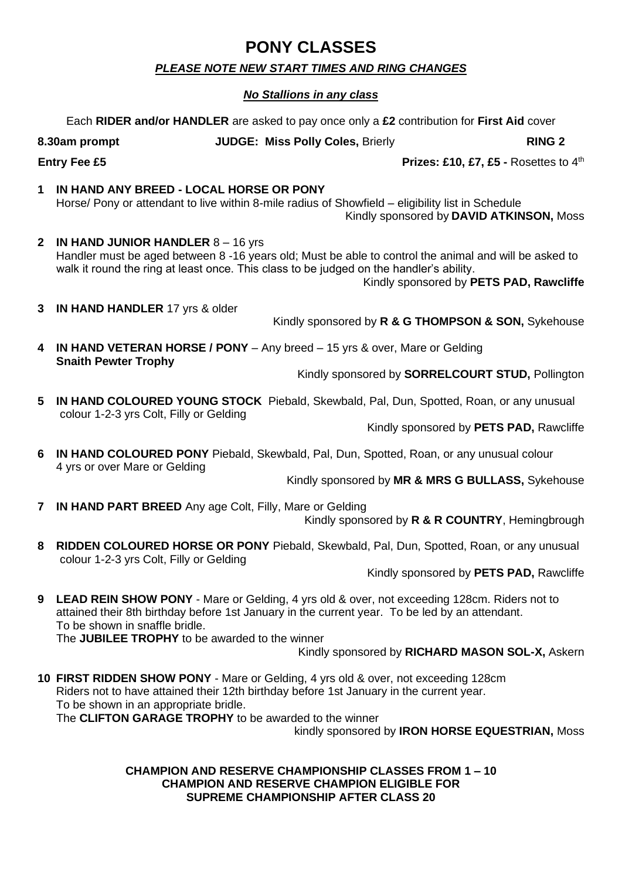### **PONY CLASSES**

#### *PLEASE NOTE NEW START TIMES AND RING CHANGES*

#### *No Stallions in any class*

Each **RIDER and/or HANDLER** are asked to pay once only a **£2** contribution for **First Aid** cover

#### **8.30am prompt JUDGE: Miss Polly Coles,** Brierly **RING 2**

#### **Entry Fee £5 Prizes: £10, £7, £5 -** Rosettes to 4<sup>th</sup>

**1 IN HAND ANY BREED - LOCAL HORSE OR PONY**  Horse/ Pony or attendant to live within 8-mile radius of Showfield – eligibility list in Schedule Kindly sponsored by **DAVID ATKINSON,** Moss

**2 IN HAND JUNIOR HANDLER** 8 – 16 yrs Handler must be aged between 8 -16 years old; Must be able to control the animal and will be asked to walk it round the ring at least once. This class to be judged on the handler's ability.

Kindly sponsored by **PETS PAD, Rawcliffe**

**3 IN HAND HANDLER** 17 yrs & older

Kindly sponsored by **R & G THOMPSON & SON,** Sykehouse

**4 IN HAND VETERAN HORSE / PONY** – Any breed – 15 yrs & over, Mare or Gelding **Snaith Pewter Trophy**

Kindly sponsored by **SORRELCOURT STUD,** Pollington

**5 IN HAND COLOURED YOUNG STOCK** Piebald, Skewbald, Pal, Dun, Spotted, Roan, or any unusual colour 1-2-3 yrs Colt, Filly or Gelding

Kindly sponsored by **PETS PAD,** Rawcliffe

**6 IN HAND COLOURED PONY** Piebald, Skewbald, Pal, Dun, Spotted, Roan, or any unusual colour 4 yrs or over Mare or Gelding

Kindly sponsored by **MR & MRS G BULLASS,** Sykehouse

- **7 IN HAND PART BREED** Any age Colt, Filly, Mare or Gelding Kindly sponsored by **R & R COUNTRY**, Hemingbrough
- **8 RIDDEN COLOURED HORSE OR PONY** Piebald, Skewbald, Pal, Dun, Spotted, Roan, or any unusual colour 1-2-3 yrs Colt, Filly or Gelding

Kindly sponsored by **PETS PAD,** Rawcliffe

**9 LEAD REIN SHOW PONY** - Mare or Gelding, 4 yrs old & over, not exceeding 128cm. Riders not to attained their 8th birthday before 1st January in the current year. To be led by an attendant. To be shown in snaffle bridle.

The **JUBILEE TROPHY** to be awarded to the winner

Kindly sponsored by **RICHARD MASON SOL-X,** Askern

**10 FIRST RIDDEN SHOW PONY** - Mare or Gelding, 4 yrs old & over, not exceeding 128cm Riders not to have attained their 12th birthday before 1st January in the current year. To be shown in an appropriate bridle. The **CLIFTON GARAGE TROPHY** to be awarded to the winner

kindly sponsored by **IRON HORSE EQUESTRIAN,** Moss

**CHAMPION AND RESERVE CHAMPIONSHIP CLASSES FROM 1 – 10 CHAMPION AND RESERVE CHAMPION ELIGIBLE FOR SUPREME CHAMPIONSHIP AFTER CLASS 20**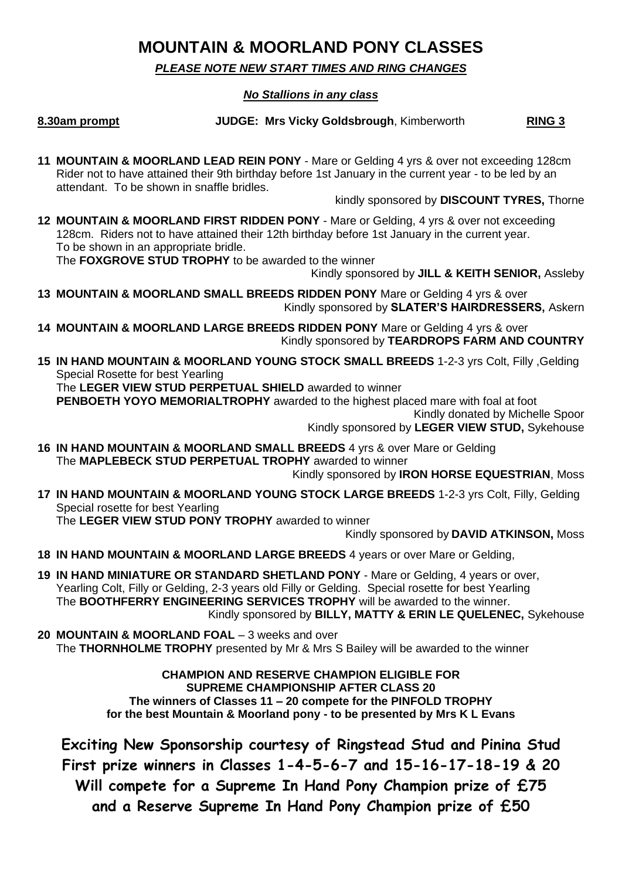### **MOUNTAIN & MOORLAND PONY CLASSES**

*PLEASE NOTE NEW START TIMES AND RING CHANGES*

#### *No Stallions in any class*

**8.30am prompt JUDGE: Mrs Vicky Goldsbrough**, Kimberworth **RING 3** 

**11 MOUNTAIN & MOORLAND LEAD REIN PONY** - Mare or Gelding 4 yrs & over not exceeding 128cm Rider not to have attained their 9th birthday before 1st January in the current year - to be led by an attendant. To be shown in snaffle bridles.

kindly sponsored by **DISCOUNT TYRES,** Thorne

**12 MOUNTAIN & MOORLAND FIRST RIDDEN PONY** - Mare or Gelding, 4 yrs & over not exceeding 128cm. Riders not to have attained their 12th birthday before 1st January in the current year. To be shown in an appropriate bridle.

The **FOXGROVE STUD TROPHY** to be awarded to the winner

Kindly sponsored by **JILL & KEITH SENIOR,** Assleby

- **13 MOUNTAIN & MOORLAND SMALL BREEDS RIDDEN PONY** Mare or Gelding 4 yrs & over Kindly sponsored by **SLATER'S HAIRDRESSERS,** Askern
- **14 MOUNTAIN & MOORLAND LARGE BREEDS RIDDEN PONY** Mare or Gelding 4 yrs & over Kindly sponsored by **TEARDROPS FARM AND COUNTRY**
- **15 IN HAND MOUNTAIN & MOORLAND YOUNG STOCK SMALL BREEDS** 1-2-3 yrs Colt, Filly ,Gelding Special Rosette for best Yearling The **LEGER VIEW STUD PERPETUAL SHIELD** awarded to winner

**PENBOETH YOYO MEMORIALTROPHY** awarded to the highest placed mare with foal at foot

Kindly donated by Michelle Spoor

Kindly sponsored by **LEGER VIEW STUD,** Sykehouse

**16 IN HAND MOUNTAIN & MOORLAND SMALL BREEDS** 4 yrs & over Mare or Gelding The **MAPLEBECK STUD PERPETUAL TROPHY** awarded to winner

Kindly sponsored by **IRON HORSE EQUESTRIAN**, Moss

**17 IN HAND MOUNTAIN & MOORLAND YOUNG STOCK LARGE BREEDS** 1-2-3 yrs Colt, Filly, Gelding Special rosette for best Yearling

The **LEGER VIEW STUD PONY TROPHY** awarded to winner

Kindly sponsored by **DAVID ATKINSON,** Moss

- **18 IN HAND MOUNTAIN & MOORLAND LARGE BREEDS** 4 years or over Mare or Gelding,
- **19 IN HAND MINIATURE OR STANDARD SHETLAND PONY**  Mare or Gelding, 4 years or over, Yearling Colt, Filly or Gelding, 2-3 years old Filly or Gelding. Special rosette for best Yearling The **BOOTHFERRY ENGINEERING SERVICES TROPHY** will be awarded to the winner. Kindly sponsored by **BILLY, MATTY & ERIN LE QUELENEC,** Sykehouse
- **20 MOUNTAIN & MOORLAND FOAL** 3 weeks and over The **THORNHOLME TROPHY** presented by Mr & Mrs S Bailey will be awarded to the winner

**CHAMPION AND RESERVE CHAMPION ELIGIBLE FOR SUPREME CHAMPIONSHIP AFTER CLASS 20 The winners of Classes 11 – 20 compete for the PINFOLD TROPHY for the best Mountain & Moorland pony - to be presented by Mrs K L Evans**

**Exciting New Sponsorship courtesy of Ringstead Stud and Pinina Stud First prize winners in Classes 1-4-5-6-7 and 15-16-17-18-19 & 20 Will compete for a Supreme In Hand Pony Champion prize of £75 and a Reserve Supreme In Hand Pony Champion prize of £50**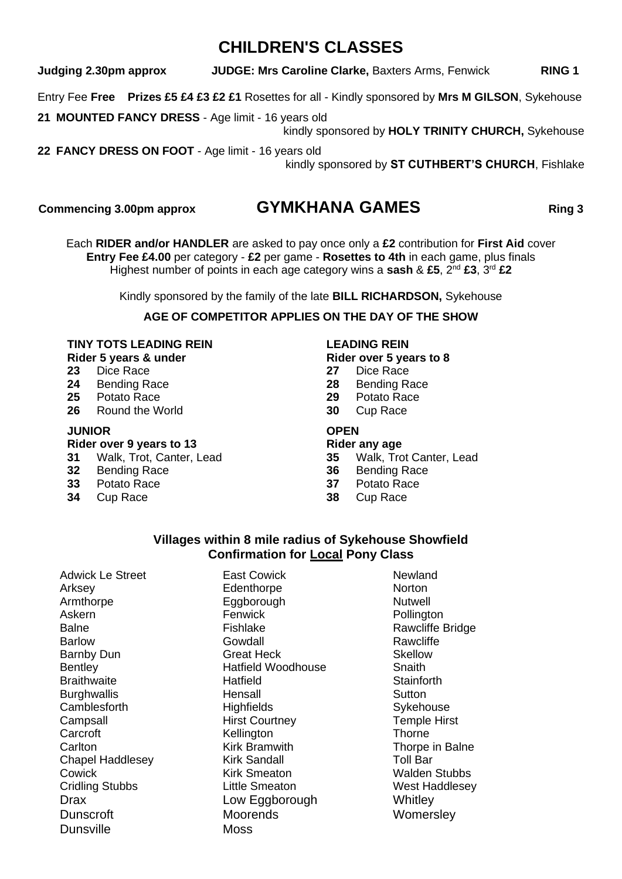### **CHILDREN'S CLASSES**

**Judging 2.30pm approx JUDGE: Mrs Caroline Clarke,** Baxters Arms, Fenwick **RING 1**

Entry Fee **Free Prizes £5 £4 £3 £2 £1** Rosettes for all - Kindly sponsored by **Mrs M GILSON**, Sykehouse

**21 MOUNTED FANCY DRESS** - Age limit - 16 years old

kindly sponsored by **HOLY TRINITY CHURCH,** Sykehouse

**22 FANCY DRESS ON FOOT** - Age limit - 16 years old

kindly sponsored by **ST CUTHBERT'S CHURCH**, Fishlake

#### **Commencing 3.00pm approx GYMKHANA GAMES** Ring 3

Each **RIDER and/or HANDLER** are asked to pay once only a **£2** contribution for **First Aid** cover **Entry Fee £4.00** per category - **£2** per game - **Rosettes to 4th** in each game, plus finals Highest number of points in each age category wins a **sash** & **£5**, 2nd **£3**, 3rd **£2**

Kindly sponsored by the family of the late **BILL RICHARDSON,** Sykehouse

#### **AGE OF COMPETITOR APPLIES ON THE DAY OF THE SHOW**

#### **TINY TOTS LEADING REIN LEADING REIN**

- **23** Dice Race **27** Dice Race
- **24** Bending Race **28** Bending Race
- **25** Potato Race **29** Potato Race
- **26** Round the World **30** Cup Race

#### **JUNIOR OPEN**

#### **Rider over 9 years to 13 Rider any age**

- **31** Walk, Trot, Canter, Lead **35** Walk, Trot Canter, Lead
- 
- **33** Potato Race **37** Potato Race
- **Cup Race**

**Rider 5 years & under Same State Book Rider over 5 years to 8**<br> **23** Dice Race **27** Dice Race

- 
- 
- 
- 

- 
- **36** Bending Race **36** Bending Race
	-
	-

#### **Villages within 8 mile radius of Sykehouse Showfield Confirmation for Local Pony Class**

Adwick Le Street **East Cowick** Newland Chapel Haddlesey Dunsville Moss

Arksey **Edenthorpe** Norton Armthorpe Eggborough Nutwell Fenwick **Pollington** Balne **Fishlake** Fishlake Rawcliffe Bridge Barlow Gowdall Gowdall Rawcliffe Barnby Dun Great Heck Skellow Bentley **Hatfield Woodhouse** Snaith Braithwaite **Hatfield** Hatfield Stainforth Burghwallis **Hensall** Hensall Sutton Camblesforth Highfields Sykehouse Campsall **Campsall** Hirst Courtney **Temple Hirst** Carcroft **Kellington Kellington** Thorne Carlton Carlton Kirk Bramwith Thorpe in Balne<br>Chapel Haddlesey Kirk Sandall Toll Bar Cowick **Cowick** Kirk Smeaton Walden Stubbs Cridling Stubbs Little Smeaton West Haddlesey Drax **Low Eggborough** Whitley Dunscroft Moorends Moorends Womersley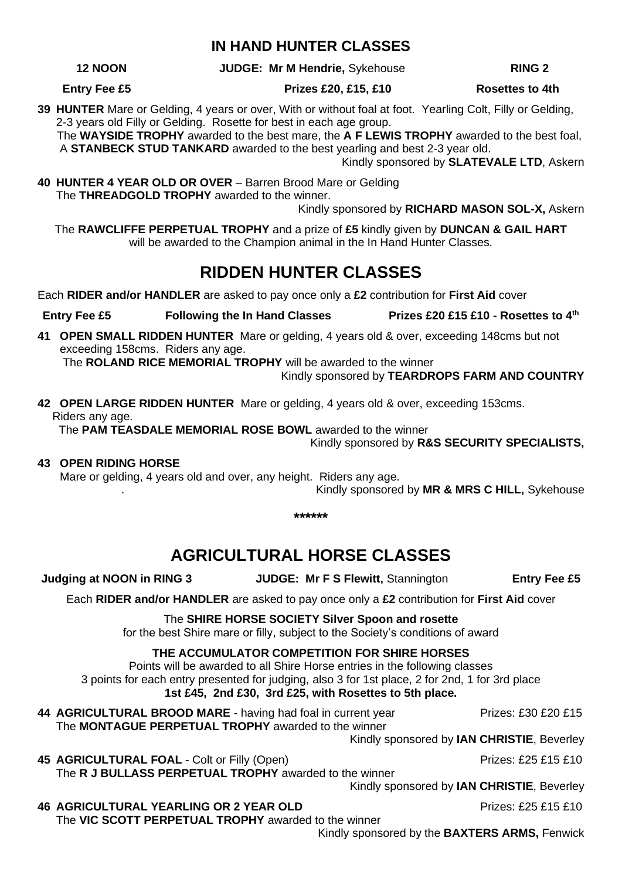#### **IN HAND HUNTER CLASSES**

**12 NOON JUDGE: Mr M Hendrie,** Sykehouse **RING 2**

**Entry Fee £5 Prizes £20, £15, £10** Rosettes to 4th

**39 HUNTER** Mare or Gelding, 4 years or over, With or without foal at foot. Yearling Colt, Filly or Gelding, 2-3 years old Filly or Gelding. Rosette for best in each age group.

 The **WAYSIDE TROPHY** awarded to the best mare, the **A F LEWIS TROPHY** awarded to the best foal, A **STANBECK STUD TANKARD** awarded to the best yearling and best 2-3 year old.

Kindly sponsored by **SLATEVALE LTD**, Askern

**40 HUNTER 4 YEAR OLD OR OVER** – Barren Brood Mare or Gelding The **THREADGOLD TROPHY** awarded to the winner.

Kindly sponsored by **RICHARD MASON SOL-X,** Askern

The **RAWCLIFFE PERPETUAL TROPHY** and a prize of **£5** kindly given by **DUNCAN & GAIL HART** will be awarded to the Champion animal in the In Hand Hunter Classes.

### **RIDDEN HUNTER CLASSES**

Each **RIDER and/or HANDLER** are asked to pay once only a **£2** contribution for **First Aid** cover

- Entry Fee £5 Following the In Hand Classes Prizes £20 £15 £10 Rosettes to 4<sup>th</sup>
- **41 OPEN SMALL RIDDEN HUNTER** Mare or gelding, 4 years old & over, exceeding 148cms but not exceeding 158cms. Riders any age.

The **ROLAND RICE MEMORIAL TROPHY** will be awarded to the winner

Kindly sponsored by **TEARDROPS FARM AND COUNTRY**

**42 OPEN LARGE RIDDEN HUNTER** Mare or gelding, 4 years old & over, exceeding 153cms. Riders any age.

The **PAM TEASDALE MEMORIAL ROSE BOWL** awarded to the winner

Kindly sponsored by **R&S SECURITY SPECIALISTS,**

**43 OPEN RIDING HORSE**

Mare or gelding, 4 years old and over, any height. Riders any age.

. Kindly sponsored by **MR & MRS C HILL,** Sykehouse

**\*\*\*\*\*\***

### **AGRICULTURAL HORSE CLASSES**

**Judging at NOON in RING 3 JUDGE: Mr F S Flewitt,** Stannington **Entry Fee £5** 

Each **RIDER and/or HANDLER** are asked to pay once only a **£2** contribution for **First Aid** cover

The **SHIRE HORSE SOCIETY Silver Spoon and rosette**  for the best Shire mare or filly, subject to the Society's conditions of award

#### **THE ACCUMULATOR COMPETITION FOR SHIRE HORSES**

Points will be awarded to all Shire Horse entries in the following classes 3 points for each entry presented for judging, also 3 for 1st place, 2 for 2nd, 1 for 3rd place **1st £45, 2nd £30, 3rd £25, with Rosettes to 5th place.**

**44 AGRICULTURAL BROOD MARE** - having had foal in current year Prizes: £30 £20 £15 The **MONTAGUE PERPETUAL TROPHY** awarded to the winner

Kindly sponsored by **IAN CHRISTIE**, Beverley

**45 AGRICULTURAL FOAL** - Colt or Filly (Open) Prizes: £25 £15 £10 The **R J BULLASS PERPETUAL TROPHY** awarded to the winner

Kindly sponsored by **IAN CHRISTIE**, Beverley

**46 AGRICULTURAL YEARLING OR 2 YEAR OLD** Prizes: £25 £15 £10 The **VIC SCOTT PERPETUAL TROPHY** awarded to the winner

Kindly sponsored by the **BAXTERS ARMS,** Fenwick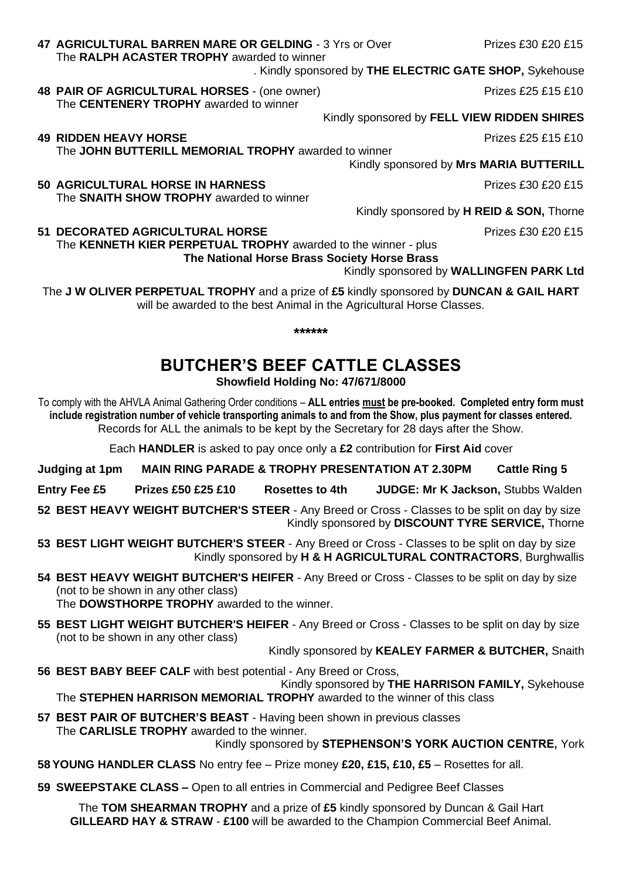## The **RALPH ACASTER TROPHY** awarded to winner

- 
- **48 PAIR OF AGRICULTURAL HORSES** (one owner) Prizes £25 £15 £10 The **CENTENERY TROPHY** awarded to winner
	- Kindly sponsored by **FELL VIEW RIDDEN SHIRES**

**49 RIDDEN HEAVY HORSE** Prizes £25 £15 £10

The **JOHN BUTTERILL MEMORIAL TROPHY** awarded to winner

Kindly sponsored by **Mrs MARIA BUTTERILL**

**50 AGRICULTURAL HORSE IN HARNESS** PRIZES **Prizes £30 £20 £15** The **SNAITH SHOW TROPHY** awarded to winner

Kindly sponsored by **H REID & SON,** Thorne

**51 DECORATED AGRICULTURAL HORSE Prizes £30 £20 £15** The **KENNETH KIER PERPETUAL TROPHY** awarded to the winner - plus

**The National Horse Brass Society Horse Brass**

Kindly sponsored by **WALLINGFEN PARK Ltd**

The **J W OLIVER PERPETUAL TROPHY** and a prize of **£5** kindly sponsored by **DUNCAN & GAIL HART** will be awarded to the best Animal in the Agricultural Horse Classes.

**\*\*\*\*\*\***

### **BUTCHER'S BEEF CATTLE CLASSES**

**Showfield Holding No: 47/671/8000**

To comply with the AHVLA Animal Gathering Order conditions – **ALL entries must be pre-booked. Completed entry form must include registration number of vehicle transporting animals to and from the Show, plus payment for classes entered.** Records for ALL the animals to be kept by the Secretary for 28 days after the Show.

Each **HANDLER** is asked to pay once only a **£2** contribution for **First Aid** cover

**Judging at 1pm MAIN RING PARADE & TROPHY PRESENTATION AT 2.30PM Cattle Ring 5**

**Entry Fee £5 Prizes £50 £25 £10 Rosettes to 4th JUDGE: Mr K Jackson,** Stubbs Walden

**52 BEST HEAVY WEIGHT BUTCHER'S STEER** - Any Breed or Cross - Classes to be split on day by size Kindly sponsored by **DISCOUNT TYRE SERVICE,** Thorne

**53 BEST LIGHT WEIGHT BUTCHER'S STEER** - Any Breed or Cross - Classes to be split on day by size Kindly sponsored by **H & H AGRICULTURAL CONTRACTORS**, Burghwallis

- **54 BEST HEAVY WEIGHT BUTCHER'S HEIFER** Any Breed or Cross Classes to be split on day by size (not to be shown in any other class) The **DOWSTHORPE TROPHY** awarded to the winner.
- **55 BEST LIGHT WEIGHT BUTCHER'S HEIFER** Any Breed or Cross Classes to be split on day by size (not to be shown in any other class)

Kindly sponsored by **KEALEY FARMER & BUTCHER,** Snaith

**56 BEST BABY BEEF CALF** with best potential - Any Breed or Cross,

Kindly sponsored by **THE HARRISON FAMILY,** Sykehouse The **STEPHEN HARRISON MEMORIAL TROPHY** awarded to the winner of this class

- **57 BEST PAIR OF BUTCHER'S BEAST** Having been shown in previous classes The **CARLISLE TROPHY** awarded to the winner. Kindly sponsored by **STEPHENSON'S YORK AUCTION CENTRE,** York
	-
- **58 YOUNG HANDLER CLASS** No entry fee Prize money **£20, £15, £10, £5** Rosettes for all.
- **59 SWEEPSTAKE CLASS –** Open to all entries in Commercial and Pedigree Beef Classes

The **TOM SHEARMAN TROPHY** and a prize of **£5** kindly sponsored by Duncan & Gail Hart **GILLEARD HAY & STRAW** - **£100** will be awarded to the Champion Commercial Beef Animal.

**47 AGRICULTURAL BARREN MARE OR GELDING** - 3 Yrs or Over Prizes £30 £20 £15

. Kindly sponsored by **THE ELECTRIC GATE SHOP,** Sykehouse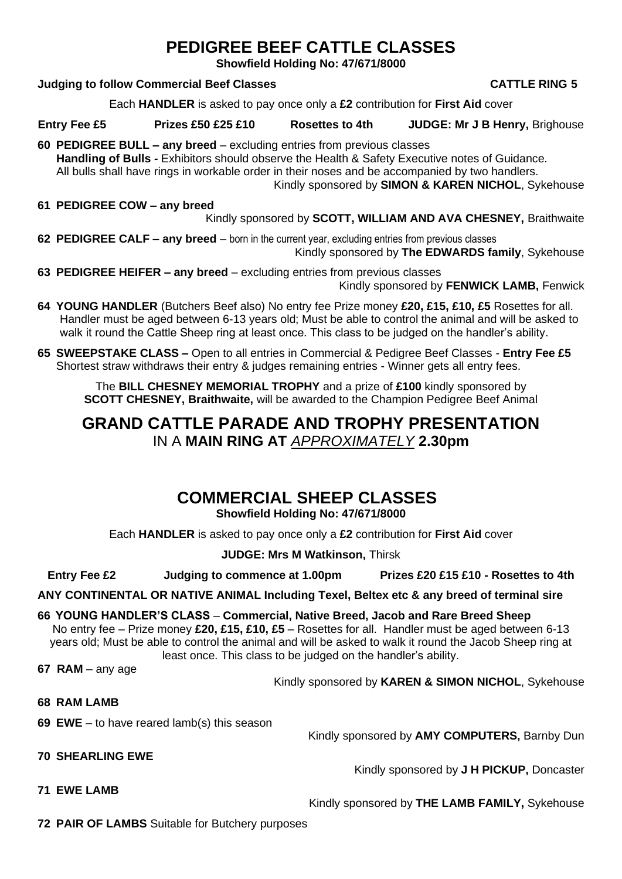### **PEDIGREE BEEF CATTLE CLASSES**

**Showfield Holding No: 47/671/8000**

#### **Judging to follow Commercial Beef Classes CATTLE RING 5**

Each **HANDLER** is asked to pay once only a **£2** contribution for **First Aid** cover

**Entry Fee £5 Prizes £50 £25 £10 Rosettes to 4th JUDGE: Mr J B Henry,** Brighouse

**60 PEDIGREE BULL – any breed** – excluding entries from previous classes **Handling of Bulls -** Exhibitors should observe the Health & Safety Executive notes of Guidance. All bulls shall have rings in workable order in their noses and be accompanied by two handlers. Kindly sponsored by **SIMON & KAREN NICHOL**, Sykehouse

**61 PEDIGREE COW – any breed** 

Kindly sponsored by **SCOTT, WILLIAM AND AVA CHESNEY,** Braithwaite

- **62 PEDIGREE CALF – any breed**  born in the current year, excluding entries from previous classes Kindly sponsored by **The EDWARDS family**, Sykehouse
- **63 PEDIGREE HEIFER – any breed**  excluding entries from previous classes Kindly sponsored by **FENWICK LAMB,** Fenwick
- **64 YOUNG HANDLER** (Butchers Beef also) No entry fee Prize money **£20, £15, £10, £5** Rosettes for all. Handler must be aged between 6-13 years old; Must be able to control the animal and will be asked to walk it round the Cattle Sheep ring at least once. This class to be judged on the handler's ability.
- **65 SWEEPSTAKE CLASS –** Open to all entries in Commercial & Pedigree Beef Classes **Entry Fee £5** Shortest straw withdraws their entry & judges remaining entries - Winner gets all entry fees.

The **BILL CHESNEY MEMORIAL TROPHY** and a prize of **£100** kindly sponsored by **SCOTT CHESNEY, Braithwaite,** will be awarded to the Champion Pedigree Beef Animal

### **GRAND CATTLE PARADE AND TROPHY PRESENTATION**  IN A **MAIN RING AT** *APPROXIMATELY* **2.30pm**

### **COMMERCIAL SHEEP CLASSES**

**Showfield Holding No: 47/671/8000**

Each **HANDLER** is asked to pay once only a **£2** contribution for **First Aid** cover

**JUDGE: Mrs M Watkinson,** Thirsk

**Entry Fee £2 Judging to commence at 1.00pm Prizes £20 £15 £10 - Rosettes to 4th** 

**ANY CONTINENTAL OR NATIVE ANIMAL Including Texel, Beltex etc & any breed of terminal sire**

**66 YOUNG HANDLER'S CLASS** – **Commercial, Native Breed, Jacob and Rare Breed Sheep** No entry fee – Prize money **£20, £15, £10, £5** – Rosettes for all. Handler must be aged between 6-13 years old; Must be able to control the animal and will be asked to walk it round the Jacob Sheep ring at least once. This class to be judged on the handler's ability.

**67 RAM** – any age

Kindly sponsored by **KAREN & SIMON NICHOL**, Sykehouse

- **68 RAM LAMB**
- **69 EWE** to have reared lamb(s) this season

Kindly sponsored by **AMY COMPUTERS,** Barnby Dun

**70 SHEARLING EWE**

Kindly sponsored by **J H PICKUP,** Doncaster

**71 EWE LAMB**

Kindly sponsored by **THE LAMB FAMILY,** Sykehouse

**72 PAIR OF LAMBS** Suitable for Butchery purposes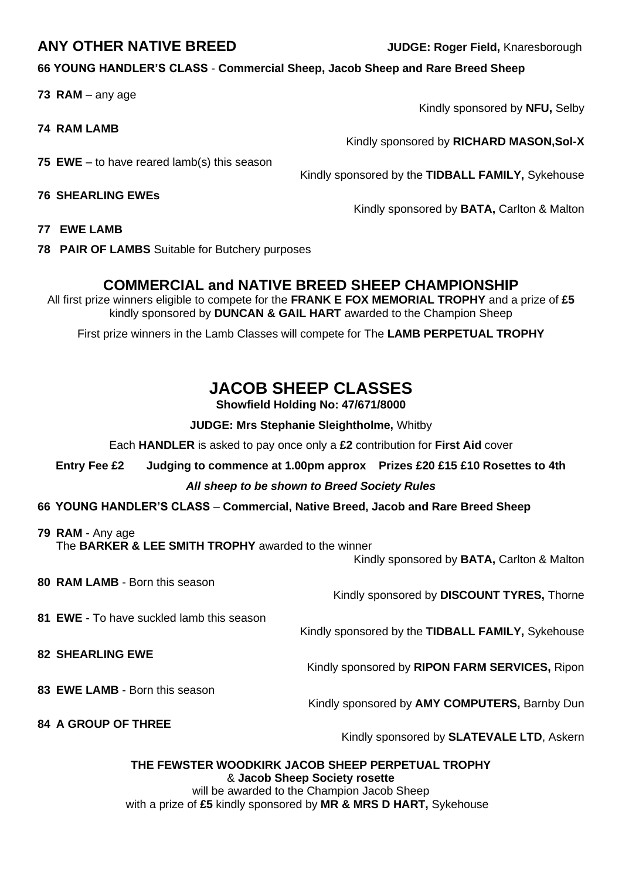#### **ANY OTHER NATIVE BREED JUDGE: Roger Field,** Knaresborough

#### **66 YOUNG HANDLER'S CLASS** - **Commercial Sheep, Jacob Sheep and Rare Breed Sheep**

**73 RAM** – any age

- **74 RAM LAMB**
- **75 EWE** to have reared lamb(s) this season
- **76 SHEARLING EWEs**

Kindly sponsored by **NFU,** Selby

Kindly sponsored by **RICHARD MASON,Sol-X**

Kindly sponsored by the **TIDBALL FAMILY,** Sykehouse

Kindly sponsored by **BATA,** Carlton & Malton

**77 EWE LAMB**

**78 PAIR OF LAMBS** Suitable for Butchery purposes

#### **COMMERCIAL and NATIVE BREED SHEEP CHAMPIONSHIP**

All first prize winners eligible to compete for the **FRANK E FOX MEMORIAL TROPHY** and a prize of **£5** kindly sponsored by **DUNCAN & GAIL HART** awarded to the Champion Sheep

First prize winners in the Lamb Classes will compete for The **LAMB PERPETUAL TROPHY**

### **JACOB SHEEP CLASSES**

**Showfield Holding No: 47/671/8000**

**JUDGE: Mrs Stephanie Sleightholme,** Whitby

Each **HANDLER** is asked to pay once only a **£2** contribution for **First Aid** cover

**Entry Fee £2 Judging to commence at 1.00pm approx Prizes £20 £15 £10 Rosettes to 4th**

#### *All sheep to be shown to Breed Society Rules*

**66 YOUNG HANDLER'S CLASS** – **Commercial, Native Breed, Jacob and Rare Breed Sheep**

**79 RAM** - Any age The **BARKER & LEE SMITH TROPHY** awarded to the winner

Kindly sponsored by **BATA,** Carlton & Malton

**80 RAM LAMB** - Born this season

Kindly sponsored by **DISCOUNT TYRES,** Thorne

Kindly sponsored by the **TIDBALL FAMILY,** Sykehouse

Kindly sponsored by **RIPON FARM SERVICES,** Ripon

Kindly sponsored by **AMY COMPUTERS,** Barnby Dun

**81 EWE** - To have suckled lamb this season

**82 SHEARLING EWE**

**83 EWE LAMB** - Born this season

**84 A GROUP OF THREE**

Kindly sponsored by **SLATEVALE LTD**, Askern

**THE FEWSTER WOODKIRK JACOB SHEEP PERPETUAL TROPHY**  & **Jacob Sheep Society rosette**  will be awarded to the Champion Jacob Sheep with a prize of **£5** kindly sponsored by **MR & MRS D HART,** Sykehouse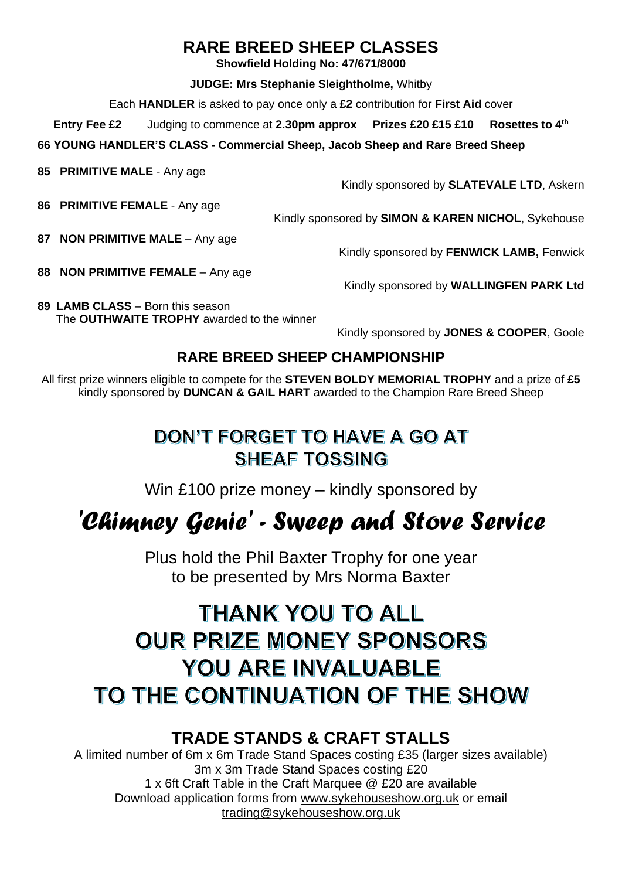### **RARE BREED SHEEP CLASSES**

**Showfield Holding No: 47/671/8000**

**JUDGE: Mrs Stephanie Sleightholme,** Whitby

Each **HANDLER** is asked to pay once only a **£2** contribution for **First Aid** cover

**Entry Fee £2** Judging to commence at **2.30pm approx Prizes £20 £15 £10 Rosettes to 4th**

**66 YOUNG HANDLER'S CLASS** - **Commercial Sheep, Jacob Sheep and Rare Breed Sheep** 

**85 PRIMITIVE MALE** - Any age

Kindly sponsored by **SLATEVALE LTD**, Askern

**86 PRIMITIVE FEMALE** - Any age

Kindly sponsored by **SIMON & KAREN NICHOL**, Sykehouse

**87 NON PRIMITIVE MALE** – Any age

**88 NON PRIMITIVE FEMALE** – Any age

Kindly sponsored by **FENWICK LAMB,** Fenwick

Kindly sponsored by **WALLINGFEN PARK Ltd**

**89 LAMB CLASS** – Born this season The **OUTHWAITE TROPHY** awarded to the winner

Kindly sponsored by **JONES & COOPER**, Goole

### **RARE BREED SHEEP CHAMPIONSHIP**

All first prize winners eligible to compete for the **STEVEN BOLDY MEMORIAL TROPHY** and a prize of **£5** kindly sponsored by **DUNCAN & GAIL HART** awarded to the Champion Rare Breed Sheep

## DON'T FORGET TO HAVE A GO AT **SHEAF TOSSING**

Win £100 prize money – kindly sponsored by

## *'Chimney Genie' - Sweep and Stove Service*

Plus hold the Phil Baxter Trophy for one year to be presented by Mrs Norma Baxter

## **THANK YOU TO ALL OUR PRIZE MONEY SPONSORS YOU ARE INVALUABLE** TO THE CONTINUATION OF THE SHOW

### **TRADE STANDS & CRAFT STALLS**

A limited number of 6m x 6m Trade Stand Spaces costing £35 (larger sizes available) 3m x 3m Trade Stand Spaces costing £20 1 x 6ft Craft Table in the Craft Marquee @ £20 are available Download application forms from [www.sykehouseshow.org.uk](http://www.sykehouseshow.org.uk/) or email [trading@sykehouseshow.org.uk](mailto:trading@sykehouseshow.org.uk)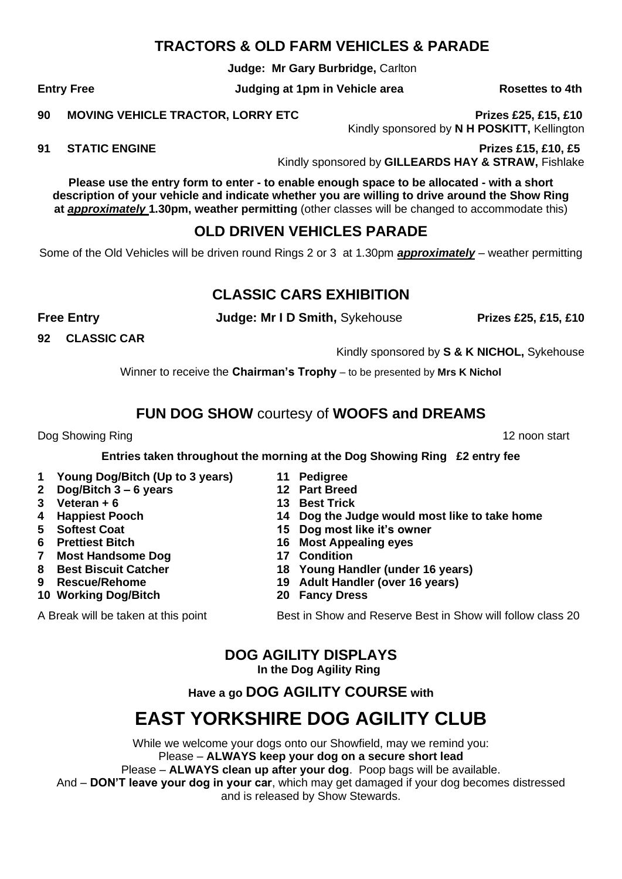#### **TRACTORS & OLD FARM VEHICLES & PARADE**

**Judge: Mr Gary Burbridge,** Carlton

Entry Free **The Studies of the Studies of the Judging at 1pm in Vehicle area Rosettes to 4th** 

**90 MOVING VEHICLE TRACTOR, LORRY ETC Prizes £25, £15, £10** Kindly sponsored by **N H POSKITT,** Kellington

**91 STATIC ENGINE Prizes £15, £10, £5**

Kindly sponsored by **GILLEARDS HAY & STRAW,** Fishlake

**Please use the entry form to enter - to enable enough space to be allocated - with a short description of your vehicle and indicate whether you are willing to drive around the Show Ring at** *approximately* **1.30pm, weather permitting** (other classes will be changed to accommodate this)

#### **OLD DRIVEN VEHICLES PARADE**

Some of the Old Vehicles will be driven round Rings 2 or 3 at 1.30pm *approximately* – weather permitting

#### **CLASSIC CARS EXHIBITION**

**Free Entry Construction Construction Systems Judge: Mr I D Smith, Sykehouse Register 25, £15, £10** 

**92 CLASSIC CAR**

Kindly sponsored by **S & K NICHOL,** Sykehouse

Winner to receive the **Chairman's Trophy** – to be presented by **Mrs K Nichol**

#### **FUN DOG SHOW** courtesy of **WOOFS and DREAMS**

Dog Showing Ring 12 noon start and the start of the start and the start and the start and the start and the start and the start and the start and the start and the start and the start and the start and the start and the st

**Entries taken throughout the morning at the Dog Showing Ring £2 entry fee**

- **1 Young Dog/Bitch (Up to 3 years) 11 Pedigree**
- **2 Dog/Bitch 3 – 6 years 12 Part Breed 3 Veteran + 6 13 Best Trick**
- 
- **4 Happiest Pooch 14 Dog the Judge would most like to take home**
- **5 Softest Coat 15 Dog most like it's owner**
- **6 Prettiest Bitch 16 Most Appealing eyes**
- **7** Most Handsome Dog
- **8 Best Biscuit Catcher 18 Young Handler (under 16 years) 9 Rescue/Rehome 19 Adult Handler (over 16 years)**
- **10 Working Dog/Bitch 20 Fancy Dress**
- 

A Break will be taken at this point **Best in Show and Reserve Best in Show will follow class 20** 

**DOG AGILITY DISPLAYS In the Dog Agility Ring**

**Have a go DOG AGILITY COURSE with**

## **EAST YORKSHIRE DOG AGILITY CLUB**

While we welcome your dogs onto our Showfield, may we remind you: Please – **ALWAYS keep your dog on a secure short lead** Please – **ALWAYS clean up after your dog**. Poop bags will be available. And – **DON'T leave your dog in your car**, which may get damaged if your dog becomes distressed and is released by Show Stewards.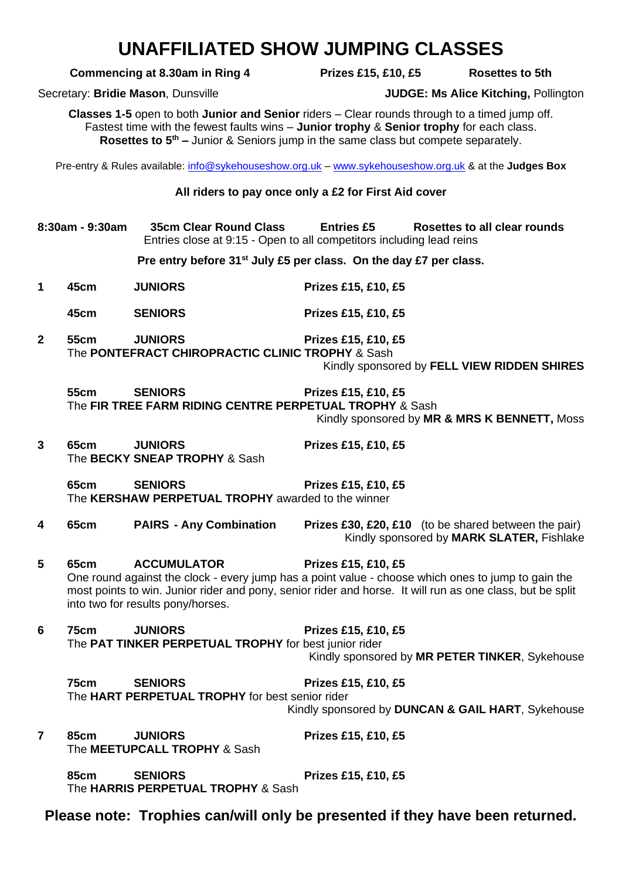## **UNAFFILIATED SHOW JUMPING CLASSES**

#### **Commencing at 8.30am in Ring 4** Prizes £15, £10, £5 Rosettes to 5th

Secretary: **Bridie Mason**, Dunsville **JUDGE: Ms Alice Kitching,** Pollington

**Classes 1-5** open to both **Junior and Senior** riders – Clear rounds through to a timed jump off. Fastest time with the fewest faults wins – **Junior trophy** & **Senior trophy** for each class. **Rosettes to 5th –** Junior & Seniors jump in the same class but compete separately.

Pre-entry & Rules available: [info@sykehouseshow.org.uk](mailto:info@sykehouseshow.org.uk) – [www.sykehouseshow.org.uk](http://www.sykehouseshow.org.uk/) & at the **Judges Box**

#### **All riders to pay once only a £2 for First Aid cover**

**8:30am - 9:30am 35cm Clear Round Class Entries £5 Rosettes to all clear rounds** Entries close at 9:15 - Open to all competitors including lead reins

**Pre entry before 31st July £5 per class. On the day £7 per class.**

- **1 45cm JUNIORS Prizes £15, £10, £5**
	- **45cm SENIORS Prizes £15, £10, £5**
- **2 55cm JUNIORS Prizes £15, £10, £5** The **PONTEFRACT CHIROPRACTIC CLINIC TROPHY** & Sash

Kindly sponsored by **FELL VIEW RIDDEN SHIRES**

**55cm SENIORS Prizes £15, £10, £5** The **FIR TREE FARM RIDING CENTRE PERPETUAL TROPHY** & Sash Kindly sponsored by **MR & MRS K BENNETT,** Moss

**3 65cm JUNIORS Prizes £15, £10, £5** The **BECKY SNEAP TROPHY** & Sash

**65cm SENIORS Prizes £15, £10, £5** The **KERSHAW PERPETUAL TROPHY** awarded to the winner

**4 65cm PAIRS - Any Combination Prizes £30, £20, £10** (to be shared between the pair) Kindly sponsored by **MARK SLATER,** Fishlake

**5 65cm ACCUMULATOR Prizes £15, £10, £5** One round against the clock - every jump has a point value - choose which ones to jump to gain the most points to win. Junior rider and pony, senior rider and horse. It will run as one class, but be split into two for results pony/horses.

**6 75cm JUNIORS Prizes £15, £10, £5** The **PAT TINKER PERPETUAL TROPHY** for best junior rider

Kindly sponsored by **MR PETER TINKER**, Sykehouse

**75cm SENIORS Prizes £15, £10, £5** The **HART PERPETUAL TROPHY** for best senior rider Kindly sponsored by **DUNCAN & GAIL HART**, Sykehouse

**7 85cm JUNIORS Prizes £15, £10, £5** The **MEETUPCALL TROPHY** & Sash

**85cm SENIORS Prizes £15, £10, £5** The **HARRIS PERPETUAL TROPHY** & Sash

**Please note: Trophies can/will only be presented if they have been returned.**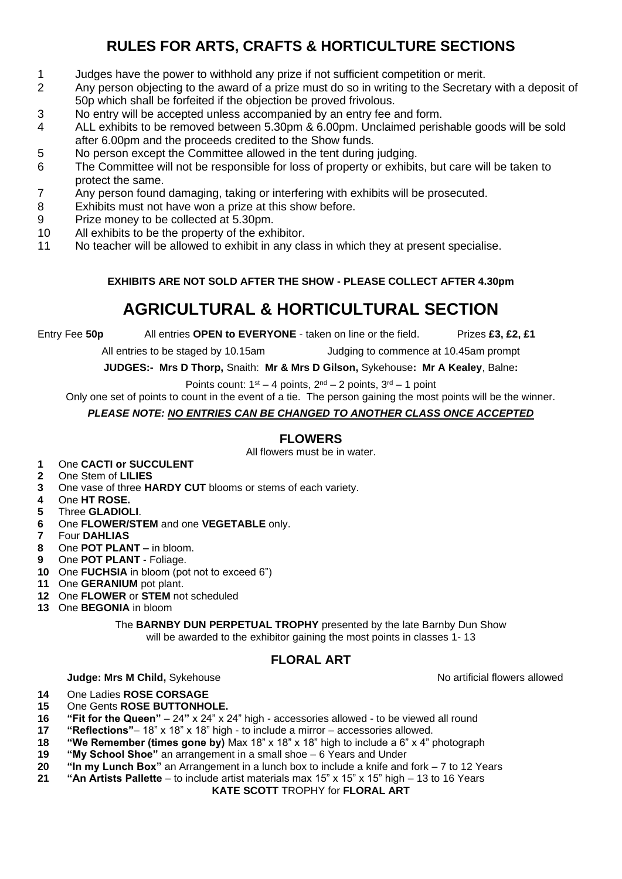### **RULES FOR ARTS, CRAFTS & HORTICULTURE SECTIONS**

- Judges have the power to withhold any prize if not sufficient competition or merit.
- Any person objecting to the award of a prize must do so in writing to the Secretary with a deposit of 50p which shall be forfeited if the objection be proved frivolous.
- No entry will be accepted unless accompanied by an entry fee and form.
- ALL exhibits to be removed between 5.30pm & 6.00pm. Unclaimed perishable goods will be sold after 6.00pm and the proceeds credited to the Show funds.
- No person except the Committee allowed in the tent during judging.
- The Committee will not be responsible for loss of property or exhibits, but care will be taken to protect the same.
- Any person found damaging, taking or interfering with exhibits will be prosecuted.
- Exhibits must not have won a prize at this show before.
- Prize money to be collected at 5.30pm.
- All exhibits to be the property of the exhibitor.
- No teacher will be allowed to exhibit in any class in which they at present specialise.

#### **EXHIBITS ARE NOT SOLD AFTER THE SHOW - PLEASE COLLECT AFTER 4.30pm**

### **AGRICULTURAL & HORTICULTURAL SECTION**

Entry Fee **50p** All entries **OPEN to EVERYONE** - taken on line or the field. Prizes **£3, £2, £1**

All entries to be staged by 10.15am Judging to commence at 10.45am prompt

**JUDGES:- Mrs D Thorp,** Snaith: **Mr & Mrs D Gilson,** Sykehouse**: Mr A Kealey**, Balne**:** 

Points count:  $1^{st} - 4$  points,  $2^{nd} - 2$  points,  $3^{rd} - 1$  point

Only one set of points to count in the event of a tie. The person gaining the most points will be the winner.

#### *PLEASE NOTE: NO ENTRIES CAN BE CHANGED TO ANOTHER CLASS ONCE ACCEPTED*

#### **FLOWERS**

All flowers must be in water.

- One **CACTI or SUCCULENT**
- One Stem of **LILIES**
- One vase of three **HARDY CUT** blooms or stems of each variety.
- One **HT ROSE.**
- Three **GLADIOLI**.
- One **FLOWER/STEM** and one **VEGETABLE** only.
- Four **DAHLIAS**
- One **POT PLANT –** in bloom.
- One **POT PLANT**  Foliage.
- One **FUCHSIA** in bloom (pot not to exceed 6")
- One **GERANIUM** pot plant.
- One **FLOWER** or **STEM** not scheduled
- One **BEGONIA** in bloom

The **BARNBY DUN PERPETUAL TROPHY** presented by the late Barnby Dun Show will be awarded to the exhibitor gaining the most points in classes 1-13

#### **FLORAL ART**

#### **Judge: Mrs M Child,** Sykehouse No artificial flowers allowed

- One Ladies **ROSE CORSAGE**
- One Gents **ROSE BUTTONHOLE.**
- **"Fit for the Queen"**  24**"** x 24" x 24" high accessories allowed to be viewed all round
- **"Reflections"** 18" x 18" x 18" high to include a mirror accessories allowed.
- **"We Remember (times gone by)** Max 18" x 18" x 18" high to include a 6" x 4" photograph
- **"My School Shoe"** an arrangement in a small shoe 6 Years and Under
- **"In my Lunch Box"** an Arrangement in a lunch box to include a knife and fork 7 to 12 Years
- **"An Artists Pallette**  to include artist materials max 15" x 15" x 15" high 13 to 16 Years

**KATE SCOTT** TROPHY for **FLORAL ART**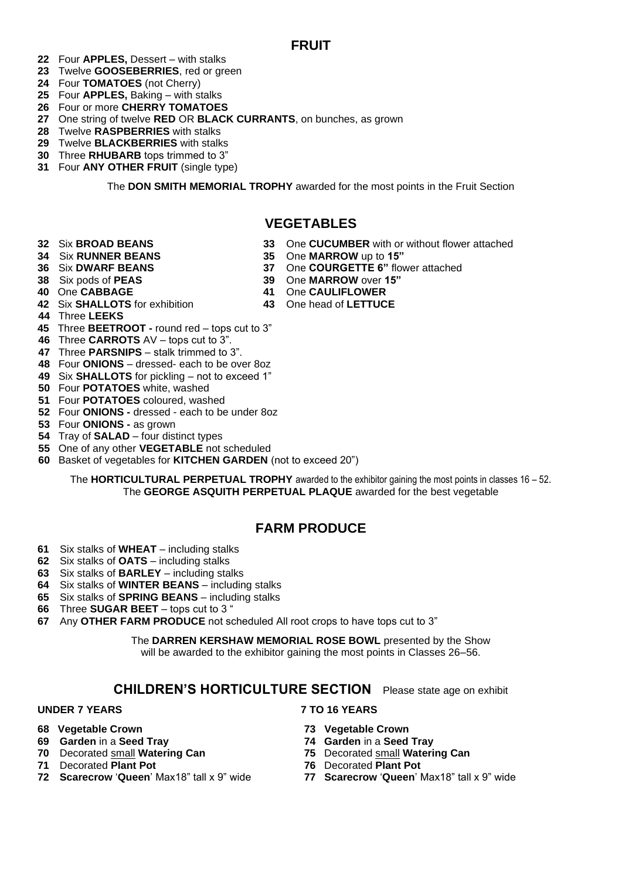#### **FRUIT**

- Four **APPLES,** Dessert with stalks
- Twelve **GOOSEBERRIES**, red or green
- Four **TOMATOES** (not Cherry)
- Four **APPLES,** Baking with stalks
- Four or more **CHERRY TOMATOES**
- One string of twelve **RED** OR **BLACK CURRANTS**, on bunches, as grown
- Twelve **RASPBERRIES** with stalks
- Twelve **BLACKBERRIES** with stalks
- Three **RHUBARB** tops trimmed to 3"
- Four **ANY OTHER FRUIT** (single type)

The **DON SMITH MEMORIAL TROPHY** awarded for the most points in the Fruit Section

#### **VEGETABLES**

One **CABBAGE 41** One **CAULIFLOWER**

One **COURGETTE 6**" flower attached

- Six **BROAD BEANS 33** One **CUCUMBER** with or without flower attached
- Six **RUNNER BEANS 35** One **MARROW** up to **15"**
- 
- Six pods of **PEAS 39** One **MARROW** over **15"**
	-
- Six **SHALLOTS** for exhibition **43** One head of **LETTUCE**
- Three **LEEKS**
- Three **BEETROOT -** round red tops cut to 3"
- Three **CARROTS** AV tops cut to 3".
- Three **PARSNIPS**  stalk trimmed to 3".
- Four **ONIONS** dressed- each to be over 8oz
- Six **SHALLOTS** for pickling not to exceed 1"
- Four **POTATOES** white, washed
- Four **POTATOES** coloured, washed
- Four **ONIONS -** dressed each to be under 8oz
- Four **ONIONS -** as grown
- Tray of **SALAD** four distinct types
- One of any other **VEGETABLE** not scheduled
- Basket of vegetables for **KITCHEN GARDEN** (not to exceed 20")

The **HORTICULTURAL PERPETUAL TROPHY** awarded to the exhibitor gaining the most points in classes 16 – 52. The **GEORGE ASQUITH PERPETUAL PLAQUE** awarded for the best vegetable

#### **FARM PRODUCE**

- Six stalks of **WHEAT**  including stalks
- Six stalks of **OATS** including stalks
- Six stalks of **BARLEY** including stalks
- Six stalks of **WINTER BEANS** including stalks
- Six stalks of **SPRING BEANS** including stalks
- Three **SUGAR BEET** tops cut to 3 "
- Any **OTHER FARM PRODUCE** not scheduled All root crops to have tops cut to 3"

The **DARREN KERSHAW MEMORIAL ROSE BOWL** presented by the Show will be awarded to the exhibitor gaining the most points in Classes 26–56.

#### **CHILDREN'S HORTICULTURE SECTION** Please state age on exhibit

#### **UNDER 7 YEARS 7 TO 16 YEARS**

- 
- 
- Decorated small **Watering Can**
- Decorated **Plant Pot 76** Decorated **Plant Pot**
- **Scarecrow** '**Queen**' Max18" tall x 9" wide **77 Scarecrow** '**Queen**' Max18" tall x 9" wide

- **68 Vegetable Crown 73 Vegetable Crown**
	-
- **Garden** in a **Seed Tray 74 Garden** in a **Seed Tray**
	-
	-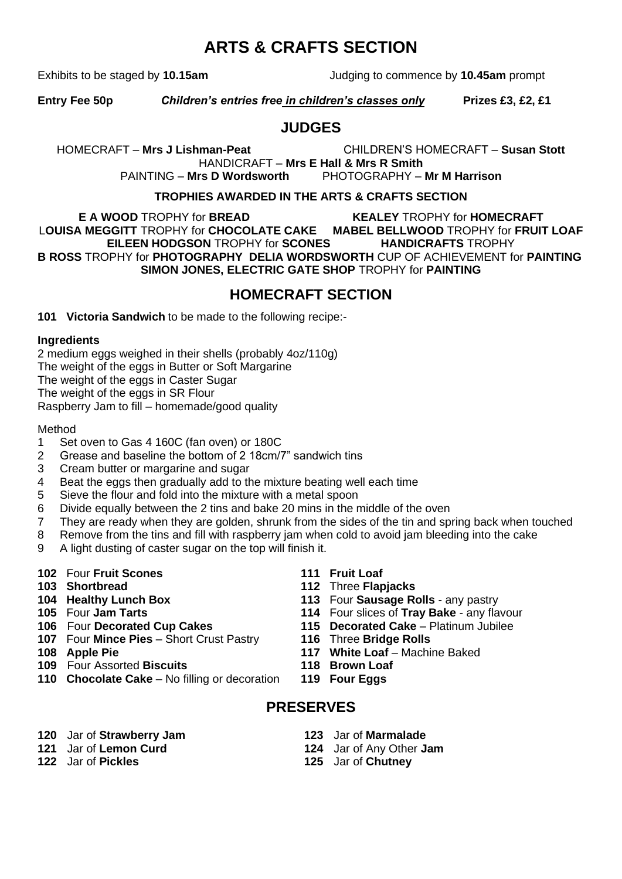### **ARTS & CRAFTS SECTION**

Exhibits to be staged by **10.15am** Judging to commence by **10.45am** prompt

**Entry Fee 50p** *Children's entries free in children's classes only* **Prizes £3, £2, £1**

#### **JUDGES**

HOMECRAFT – **Mrs J Lishman-Peat** CHILDREN'S HOMECRAFT – **Susan Stott** HANDICRAFT – **Mrs E Hall & Mrs R Smith** 

PAINTING – **Mrs D Wordsworth** PHOTOGRAPHY – **Mr M Harrison**

#### **TROPHIES AWARDED IN THE ARTS & CRAFTS SECTION**

**E A WOOD** TROPHY for **BREAD KEALEY** TROPHY for **HOMECRAFT** L**OUISA MEGGITT** TROPHY for **CHOCOLATE CAKE MABEL BELLWOOD** TROPHY for **FRUIT LOAF EILEEN HODGSON** TROPHY for **SCONES HANDICRAFTS** TROPHY **B ROSS** TROPHY for **PHOTOGRAPHY DELIA WORDSWORTH** CUP OF ACHIEVEMENT for **PAINTING SIMON JONES, ELECTRIC GATE SHOP** TROPHY for **PAINTING**

#### **HOMECRAFT SECTION**

**101 Victoria Sandwich** to be made to the following recipe:-

#### **Ingredients**

2 medium eggs weighed in their shells (probably 4oz/110g) The weight of the eggs in Butter or Soft Margarine The weight of the eggs in Caster Sugar The weight of the eggs in SR Flour Raspberry Jam to fill – homemade/good quality

#### Method

- 1 Set oven to Gas 4 160C (fan oven) or 180C
- 2 Grease and baseline the bottom of 2 18cm/7" sandwich tins
- 3 Cream butter or margarine and sugar
- 4 Beat the eggs then gradually add to the mixture beating well each time
- 5 Sieve the flour and fold into the mixture with a metal spoon
- 6 Divide equally between the 2 tins and bake 20 mins in the middle of the oven
- 7 They are ready when they are golden, shrunk from the sides of the tin and spring back when touched
- 8 Remove from the tins and fill with raspberry jam when cold to avoid jam bleeding into the cake
- 9 A light dusting of caster sugar on the top will finish it.
- **102** Four **Fruit Scones 111 Fruit Loaf**
- 
- 
- 
- 
- **107** Four **Mince Pies** Short Crust Pastry **116** Three **Bridge Rolls**
- 
- 
- **109** Four Assorted **Biscuits 118 Brown Loaf 110 Chocolate Cake** – No filling or decoration
- 
- **103 Shortbread 112** Three **Flapjacks**
- **104 Healthy Lunch Box 113** Four **Sausage Rolls** any pastry
	- **114** Four slices of Tray Bake any flavour
- **106** Four **Decorated Cup Cakes 115 Decorated Cake** Platinum Jubilee
	-
- **108 Apple Pie 117 White Loaf** Machine Baked
	-
	-

#### **PRESERVES**

- **120** Jar of **Strawberry Jam 123** Jar of **Marmalade**
- 
- 
- 
- **121** Jar of **Lemon Curd 124** Jar of Any Other **Jam**
	- **122** Jar of **Pickles 125** Jar of **Chutney**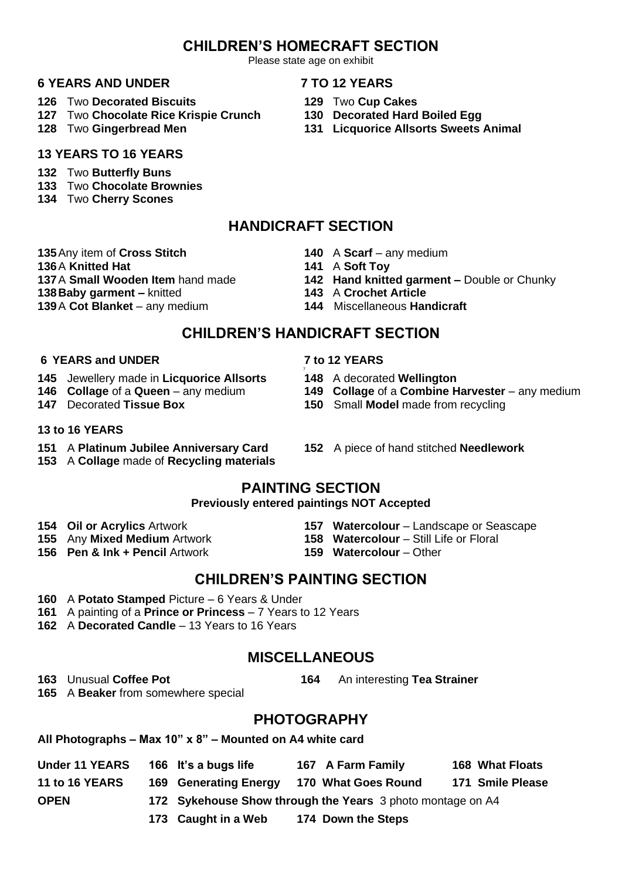### **CHILDREN'S HOMECRAFT SECTION**

Please state age on exhibit

#### **6 YEARS AND UNDER 7 TO 12 YEARS**

- **126** Two **Decorated Biscuits 129** Two **Cup Cakes**
- **127** Two **Chocolate Rice Krispie Crunch 130 Decorated Hard Boiled Egg**
- 

#### **13 YEARS TO 16 YEARS**

- **132** Two **Butterfly Buns**
- **133** Two **Chocolate Brownies**
- **134** Two **Cherry Scones**

### **HANDICRAFT SECTION**

- **135**Any item of **Cross Stitch 140** A **Scarf**  any medium
- **136**A **Knitted Hat 141** A **Soft Toy**
- 
- **138Baby garment –** knitted **143** A **Crochet Article**
- **139A Cot Blanket** any medium
- 
- 
- **137**A **Small Wooden Item** hand made **142 Hand knitted garment –** Double or Chunky<br>**143 A Crochet Article** 
	-
	-

#### **CHILDREN'S HANDICRAFT SECTION**

#### **6 YEARS and UNDER 7 to 12 YEARS**

- **145** Jewellery made in **Licquorice Allsorts 148** A decorated **Wellington**
- 
- 

#### **13 to 16 YEARS**

- **151** A **Platinum Jubilee Anniversary Card 152** A piece of hand stitched **Needlework**
- **153** A **Collage** made of **Recycling materials**
- 7
- 
- **146 Collage** of a **Queen** any medium **149 Collage** of a **Combine Harvester**  any medium
- **147** Decorated **Tissue Box 150** Small **Model** made from recycling
	-

#### **PAINTING SECTION**

#### **Previously entered paintings NOT Accepted**

- 
- 
- **156 Pen & Ink + Pencil** Artwork **159 Watercolour**  Other
- **154 Oil or Acrylics** Artwork **157 Watercolour**  Landscape or Seascape
- **155** Any Mixed Medium Artwork **158 Watercolour** Still Life or Floral
	-

### **CHILDREN'S PAINTING SECTION**

- **160** A **Potato Stamped** Picture 6 Years & Under
- **161** A painting of a **Prince or Princess** 7 Years to 12 Years
- **162** A **Decorated Candle**  13 Years to 16 Years

### **MISCELLANEOUS**

**163** Unusual **Coffee Pot 164** An interesting **Tea Strainer**

**165** A **Beaker** from somewhere special

### **PHOTOGRAPHY**

**All Photographs – Max 10" x 8" – Mounted on A4 white card**

| <b>Under 11 YEARS</b> | 166 It's a bugs life         | 167 A Farm Family                                          | <b>168 What Floats</b> |
|-----------------------|------------------------------|------------------------------------------------------------|------------------------|
| <b>11 to 16 YEARS</b> | <b>169 Generating Energy</b> | 170 What Goes Round                                        | 171 Smile Please       |
| <b>OPEN</b>           |                              | 172 Sykehouse Show through the Years 3 photo montage on A4 |                        |

**173 Caught in a Web 174 Down the Steps**

- -
- 
- **131 Licquorice Allsorts Sweets Animal**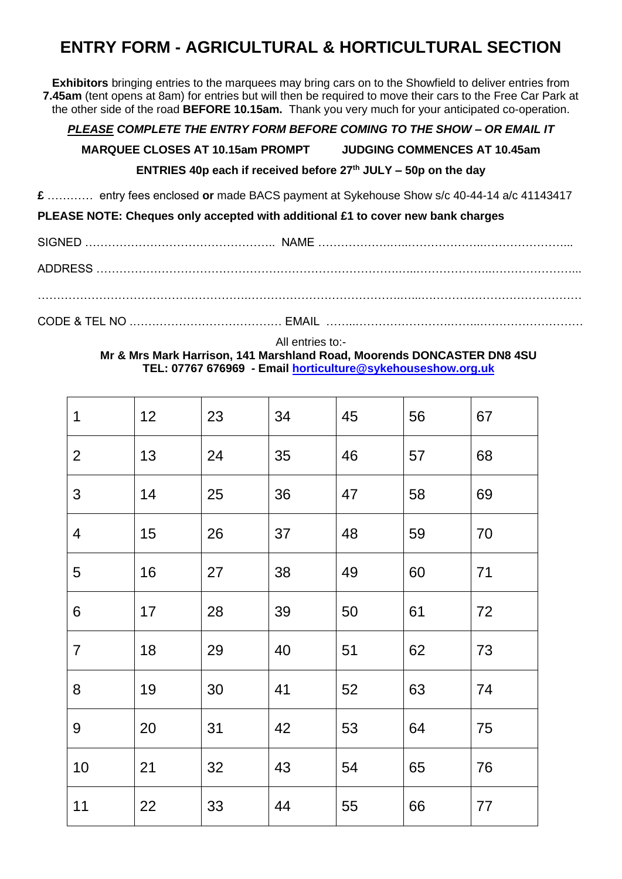### **ENTRY FORM - AGRICULTURAL & HORTICULTURAL SECTION**

**Exhibitors** bringing entries to the marquees may bring cars on to the Showfield to deliver entries from **7.45am** (tent opens at 8am) for entries but will then be required to move their cars to the Free Car Park at the other side of the road **BEFORE 10.15am.** Thank you very much for your anticipated co-operation.

#### *PLEASE COMPLETE THE ENTRY FORM BEFORE COMING TO THE SHOW – OR EMAIL IT*

**MARQUEE CLOSES AT 10.15am PROMPT JUDGING COMMENCES AT 10.45am**

#### **ENTRIES 40p each if received before 27th JULY – 50p on the day**

**£** ………… entry fees enclosed **or** made BACS payment at Sykehouse Show s/c 40-44-14 a/c 41143417

**PLEASE NOTE: Cheques only accepted with additional £1 to cover new bank charges**

SIGNED ………………………………………….. NAME ……………….…..………………..…………………... ADDRESS …………………………………………………………………….…..………………..…………………... ……………………………………………….………………………………….…...……………………………………

CODE & TEL NO .………………………………… EMAIL ……..…………………….……..………………………

All entries to:-

**Mr & Mrs Mark Harrison, 141 Marshland Road, Moorends DONCASTER DN8 4SU TEL: 07767 676969 - Email [horticulture@sykehouseshow.org.uk](mailto:hort@sykehouseshow.org.uk)**

| 1                        | 12 | 23 | 34 | 45 | 56 | 67 |
|--------------------------|----|----|----|----|----|----|
| $\overline{2}$           | 13 | 24 | 35 | 46 | 57 | 68 |
| $\mathfrak{S}$           | 14 | 25 | 36 | 47 | 58 | 69 |
| $\overline{\mathcal{A}}$ | 15 | 26 | 37 | 48 | 59 | 70 |
| 5                        | 16 | 27 | 38 | 49 | 60 | 71 |
| 6                        | 17 | 28 | 39 | 50 | 61 | 72 |
| $\overline{7}$           | 18 | 29 | 40 | 51 | 62 | 73 |
| 8                        | 19 | 30 | 41 | 52 | 63 | 74 |
| 9                        | 20 | 31 | 42 | 53 | 64 | 75 |
| 10                       | 21 | 32 | 43 | 54 | 65 | 76 |
| 11                       | 22 | 33 | 44 | 55 | 66 | 77 |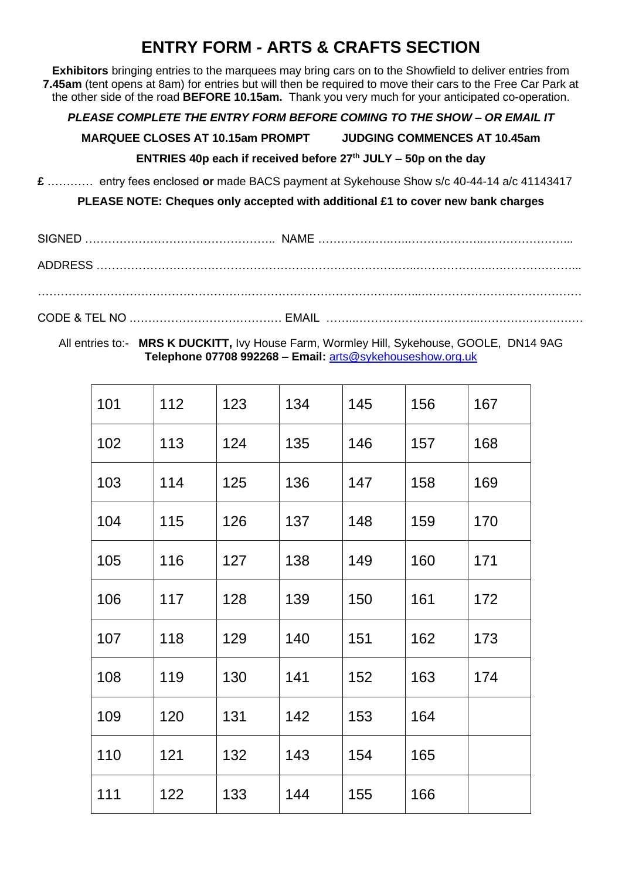### **ENTRY FORM - ARTS & CRAFTS SECTION**

**Exhibitors** bringing entries to the marquees may bring cars on to the Showfield to deliver entries from **7.45am** (tent opens at 8am) for entries but will then be required to move their cars to the Free Car Park at the other side of the road **BEFORE 10.15am.** Thank you very much for your anticipated co-operation.

#### *PLEASE COMPLETE THE ENTRY FORM BEFORE COMING TO THE SHOW – OR EMAIL IT*

**MARQUEE CLOSES AT 10.15am PROMPT JUDGING COMMENCES AT 10.45am**

#### **ENTRIES 40p each if received before 27th JULY – 50p on the day**

**£** ………… entry fees enclosed **or** made BACS payment at Sykehouse Show s/c 40-44-14 a/c 41143417

**PLEASE NOTE: Cheques only accepted with additional £1 to cover new bank charges**

#### All entries to:- **MRS K DUCKITT,** Ivy House Farm, Wormley Hill, Sykehouse, GOOLE, DN14 9AG **Telephone 07708 992268 – Email:** [arts@sykehouseshow.org.uk](mailto:arts@sykehouseshow.org.uk)

| 101 | 112 | 123 | 134 | 145 | 156 | 167 |
|-----|-----|-----|-----|-----|-----|-----|
| 102 | 113 | 124 | 135 | 146 | 157 | 168 |
| 103 | 114 | 125 | 136 | 147 | 158 | 169 |
| 104 | 115 | 126 | 137 | 148 | 159 | 170 |
| 105 | 116 | 127 | 138 | 149 | 160 | 171 |
| 106 | 117 | 128 | 139 | 150 | 161 | 172 |
| 107 | 118 | 129 | 140 | 151 | 162 | 173 |
| 108 | 119 | 130 | 141 | 152 | 163 | 174 |
| 109 | 120 | 131 | 142 | 153 | 164 |     |
| 110 | 121 | 132 | 143 | 154 | 165 |     |
| 111 | 122 | 133 | 144 | 155 | 166 |     |